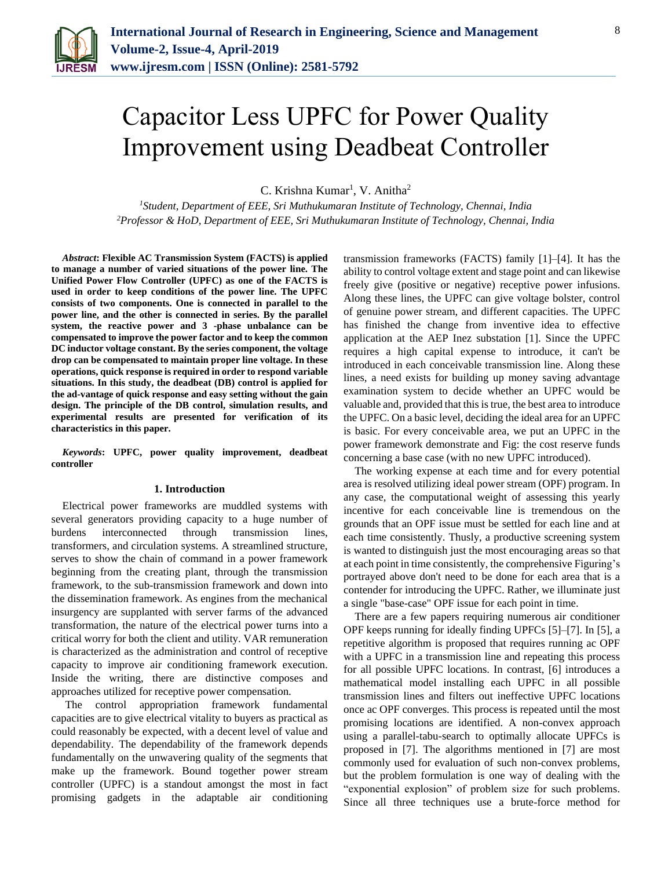

# Capacitor Less UPFC for Power Quality Improvement using Deadbeat Controller

C. Krishna Kumar<sup>1</sup>, V. Anitha<sup>2</sup>

*<sup>1</sup>Student, Department of EEE, Sri Muthukumaran Institute of Technology, Chennai, India 2Professor & HoD, Department of EEE, Sri Muthukumaran Institute of Technology, Chennai, India* 

*Abstract***: Flexible AC Transmission System (FACTS) is applied to manage a number of varied situations of the power line. The Unified Power Flow Controller (UPFC) as one of the FACTS is used in order to keep conditions of the power line. The UPFC consists of two components. One is connected in parallel to the power line, and the other is connected in series. By the parallel system, the reactive power and 3 -phase unbalance can be compensated to improve the power factor and to keep the common DC inductor voltage constant. By the series component, the voltage drop can be compensated to maintain proper line voltage. In these operations, quick response is required in order to respond variable situations. In this study, the deadbeat (DB) control is applied for the ad-vantage of quick response and easy setting without the gain design. The principle of the DB control, simulation results, and experimental results are presented for verification of its characteristics in this paper.**

*Keywords***: UPFC, power quality improvement, deadbeat controller**

## **1. Introduction**

Electrical power frameworks are muddled systems with several generators providing capacity to a huge number of burdens interconnected through transmission lines, transformers, and circulation systems. A streamlined structure, serves to show the chain of command in a power framework beginning from the creating plant, through the transmission framework, to the sub-transmission framework and down into the dissemination framework. As engines from the mechanical insurgency are supplanted with server farms of the advanced transformation, the nature of the electrical power turns into a critical worry for both the client and utility. VAR remuneration is characterized as the administration and control of receptive capacity to improve air conditioning framework execution. Inside the writing, there are distinctive composes and approaches utilized for receptive power compensation.

The control appropriation framework fundamental capacities are to give electrical vitality to buyers as practical as could reasonably be expected, with a decent level of value and dependability. The dependability of the framework depends fundamentally on the unwavering quality of the segments that make up the framework. Bound together power stream controller (UPFC) is a standout amongst the most in fact promising gadgets in the adaptable air conditioning

transmission frameworks (FACTS) family [1]–[4]. It has the ability to control voltage extent and stage point and can likewise freely give (positive or negative) receptive power infusions. Along these lines, the UPFC can give voltage bolster, control of genuine power stream, and different capacities. The UPFC has finished the change from inventive idea to effective application at the AEP Inez substation [1]. Since the UPFC requires a high capital expense to introduce, it can't be introduced in each conceivable transmission line. Along these lines, a need exists for building up money saving advantage examination system to decide whether an UPFC would be valuable and, provided that this is true, the best area to introduce the UPFC. On a basic level, deciding the ideal area for an UPFC is basic. For every conceivable area, we put an UPFC in the power framework demonstrate and Fig: the cost reserve funds concerning a base case (with no new UPFC introduced).

The working expense at each time and for every potential area is resolved utilizing ideal power stream (OPF) program. In any case, the computational weight of assessing this yearly incentive for each conceivable line is tremendous on the grounds that an OPF issue must be settled for each line and at each time consistently. Thusly, a productive screening system is wanted to distinguish just the most encouraging areas so that at each point in time consistently, the comprehensive Figuring's portrayed above don't need to be done for each area that is a contender for introducing the UPFC. Rather, we illuminate just a single "base-case" OPF issue for each point in time.

There are a few papers requiring numerous air conditioner OPF keeps running for ideally finding UPFCs [5]–[7]. In [5], a repetitive algorithm is proposed that requires running ac OPF with a UPFC in a transmission line and repeating this process for all possible UPFC locations. In contrast, [6] introduces a mathematical model installing each UPFC in all possible transmission lines and filters out ineffective UPFC locations once ac OPF converges. This process is repeated until the most promising locations are identified. A non-convex approach using a parallel-tabu-search to optimally allocate UPFCs is proposed in [7]. The algorithms mentioned in [7] are most commonly used for evaluation of such non-convex problems, but the problem formulation is one way of dealing with the "exponential explosion" of problem size for such problems. Since all three techniques use a brute-force method for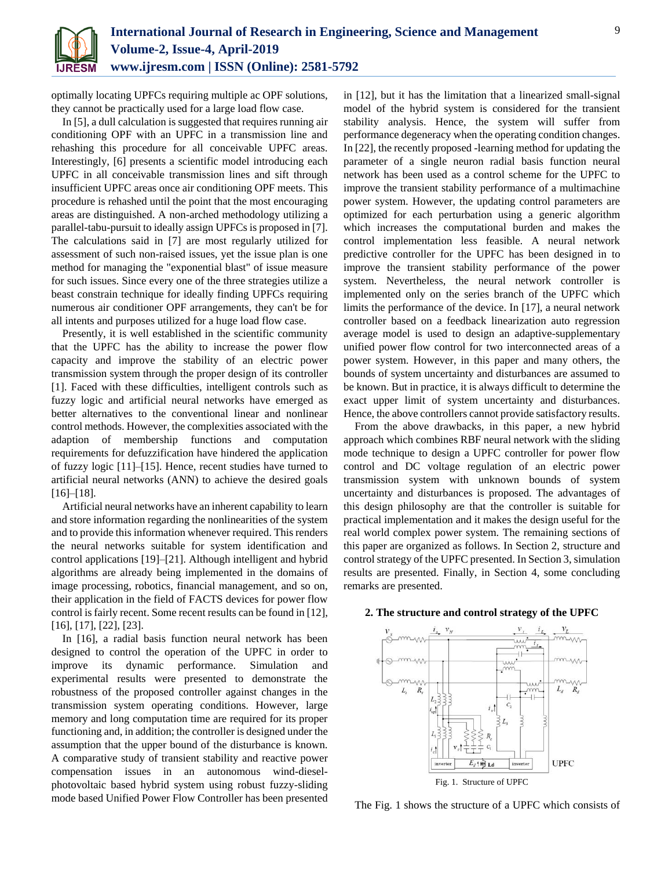

optimally locating UPFCs requiring multiple ac OPF solutions, they cannot be practically used for a large load flow case.

In [5], a dull calculation is suggested that requires running air conditioning OPF with an UPFC in a transmission line and rehashing this procedure for all conceivable UPFC areas. Interestingly, [6] presents a scientific model introducing each UPFC in all conceivable transmission lines and sift through insufficient UPFC areas once air conditioning OPF meets. This procedure is rehashed until the point that the most encouraging areas are distinguished. A non-arched methodology utilizing a parallel-tabu-pursuit to ideally assign UPFCs is proposed in [7]. The calculations said in [7] are most regularly utilized for assessment of such non-raised issues, yet the issue plan is one method for managing the "exponential blast" of issue measure for such issues. Since every one of the three strategies utilize a beast constrain technique for ideally finding UPFCs requiring numerous air conditioner OPF arrangements, they can't be for all intents and purposes utilized for a huge load flow case.

Presently, it is well established in the scientific community that the UPFC has the ability to increase the power flow capacity and improve the stability of an electric power transmission system through the proper design of its controller [1]. Faced with these difficulties, intelligent controls such as fuzzy logic and artificial neural networks have emerged as better alternatives to the conventional linear and nonlinear control methods. However, the complexities associated with the adaption of membership functions and computation requirements for defuzzification have hindered the application of fuzzy logic [11]–[15]. Hence, recent studies have turned to artificial neural networks (ANN) to achieve the desired goals [16]–[18].

Artificial neural networks have an inherent capability to learn and store information regarding the nonlinearities of the system and to provide this information whenever required. This renders the neural networks suitable for system identification and control applications [19]–[21]. Although intelligent and hybrid algorithms are already being implemented in the domains of image processing, robotics, financial management, and so on, their application in the field of FACTS devices for power flow control is fairly recent. Some recent results can be found in [12], [16], [17], [22], [23].

In [16], a radial basis function neural network has been designed to control the operation of the UPFC in order to improve its dynamic performance. Simulation and experimental results were presented to demonstrate the robustness of the proposed controller against changes in the transmission system operating conditions. However, large memory and long computation time are required for its proper functioning and, in addition; the controller is designed under the assumption that the upper bound of the disturbance is known. A comparative study of transient stability and reactive power compensation issues in an autonomous wind-dieselphotovoltaic based hybrid system using robust fuzzy-sliding mode based Unified Power Flow Controller has been presented in [12], but it has the limitation that a linearized small-signal model of the hybrid system is considered for the transient stability analysis. Hence, the system will suffer from performance degeneracy when the operating condition changes. In [22], the recently proposed -learning method for updating the parameter of a single neuron radial basis function neural network has been used as a control scheme for the UPFC to improve the transient stability performance of a multimachine power system. However, the updating control parameters are optimized for each perturbation using a generic algorithm which increases the computational burden and makes the control implementation less feasible. A neural network predictive controller for the UPFC has been designed in to improve the transient stability performance of the power system. Nevertheless, the neural network controller is implemented only on the series branch of the UPFC which limits the performance of the device. In [17], a neural network controller based on a feedback linearization auto regression average model is used to design an adaptive-supplementary unified power flow control for two interconnected areas of a power system. However, in this paper and many others, the bounds of system uncertainty and disturbances are assumed to be known. But in practice, it is always difficult to determine the exact upper limit of system uncertainty and disturbances. Hence, the above controllers cannot provide satisfactory results.

From the above drawbacks, in this paper, a new hybrid approach which combines RBF neural network with the sliding mode technique to design a UPFC controller for power flow control and DC voltage regulation of an electric power transmission system with unknown bounds of system uncertainty and disturbances is proposed. The advantages of this design philosophy are that the controller is suitable for practical implementation and it makes the design useful for the real world complex power system. The remaining sections of this paper are organized as follows. In Section 2, structure and control strategy of the UPFC presented. In Section 3, simulation results are presented. Finally, in Section 4, some concluding remarks are presented.



# **2. The structure and control strategy of the UPFC**

The Fig. 1 shows the structure of a UPFC which consists of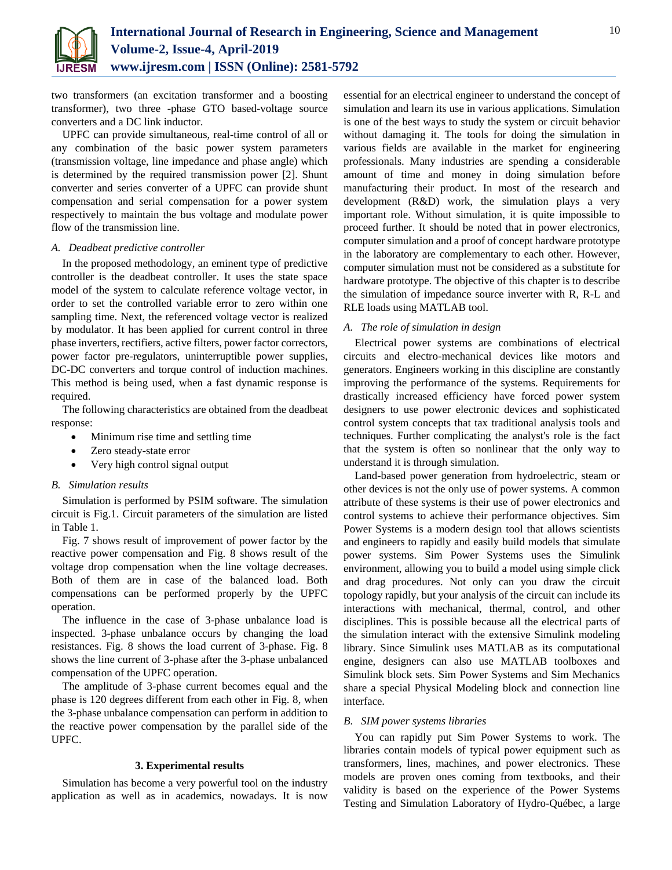

two transformers (an excitation transformer and a boosting transformer), two three -phase GTO based-voltage source converters and a DC link inductor.

UPFC can provide simultaneous, real-time control of all or any combination of the basic power system parameters (transmission voltage, line impedance and phase angle) which is determined by the required transmission power [2]. Shunt converter and series converter of a UPFC can provide shunt compensation and serial compensation for a power system respectively to maintain the bus voltage and modulate power flow of the transmission line.

# *A. Deadbeat predictive controller*

In the proposed methodology, an eminent type of predictive controller is the deadbeat controller. It uses the state space model of the system to calculate reference voltage vector, in order to set the controlled variable error to zero within one sampling time. Next, the referenced voltage vector is realized by modulator. It has been applied for current control in three phase inverters, rectifiers, active filters, power factor correctors, power factor pre-regulators, uninterruptible power supplies, DC-DC converters and torque control of induction machines. This method is being used, when a fast dynamic response is required.

The following characteristics are obtained from the deadbeat response:

- Minimum rise time and settling time
- Zero steady-state error
- Very high control signal output

## *B. Simulation results*

Simulation is performed by PSIM software. The simulation circuit is Fig.1. Circuit parameters of the simulation are listed in Table 1.

Fig. 7 shows result of improvement of power factor by the reactive power compensation and Fig. 8 shows result of the voltage drop compensation when the line voltage decreases. Both of them are in case of the balanced load. Both compensations can be performed properly by the UPFC operation.

The influence in the case of 3-phase unbalance load is inspected. 3-phase unbalance occurs by changing the load resistances. Fig. 8 shows the load current of 3-phase. Fig. 8 shows the line current of 3-phase after the 3-phase unbalanced compensation of the UPFC operation.

The amplitude of 3-phase current becomes equal and the phase is 120 degrees different from each other in Fig. 8, when the 3-phase unbalance compensation can perform in addition to the reactive power compensation by the parallel side of the UPFC.

# **3. Experimental results**

Simulation has become a very powerful tool on the industry application as well as in academics, nowadays. It is now

essential for an electrical engineer to understand the concept of simulation and learn its use in various applications. Simulation is one of the best ways to study the system or circuit behavior without damaging it. The tools for doing the simulation in various fields are available in the market for engineering professionals. Many industries are spending a considerable amount of time and money in doing simulation before manufacturing their product. In most of the research and development (R&D) work, the simulation plays a very important role. Without simulation, it is quite impossible to proceed further. It should be noted that in power electronics, computer simulation and a proof of concept hardware prototype in the laboratory are complementary to each other. However, computer simulation must not be considered as a substitute for hardware prototype. The objective of this chapter is to describe the simulation of impedance source inverter with R, R-L and RLE loads using MATLAB tool.

# *A. The role of simulation in design*

Electrical power systems are combinations of electrical circuits and electro-mechanical devices like motors and generators. Engineers working in this discipline are constantly improving the performance of the systems. Requirements for drastically increased efficiency have forced power system designers to use power electronic devices and sophisticated control system concepts that tax traditional analysis tools and techniques. Further complicating the analyst's role is the fact that the system is often so nonlinear that the only way to understand it is through simulation.

Land-based power generation from hydroelectric, steam or other devices is not the only use of power systems. A common attribute of these systems is their use of power electronics and control systems to achieve their performance objectives. Sim Power Systems is a modern design tool that allows scientists and engineers to rapidly and easily build models that simulate power systems. Sim Power Systems uses the Simulink environment, allowing you to build a model using simple click and drag procedures. Not only can you draw the circuit topology rapidly, but your analysis of the circuit can include its interactions with mechanical, thermal, control, and other disciplines. This is possible because all the electrical parts of the simulation interact with the extensive Simulink modeling library. Since Simulink uses MATLAB as its computational engine, designers can also use MATLAB toolboxes and Simulink block sets. Sim Power Systems and Sim Mechanics share a special Physical Modeling block and connection line interface.

# *B. SIM power systems libraries*

You can rapidly put Sim Power Systems to work. The libraries contain models of typical power equipment such as transformers, lines, machines, and power electronics. These models are proven ones coming from textbooks, and their validity is based on the experience of the Power Systems Testing and Simulation Laboratory of Hydro-Québec, a large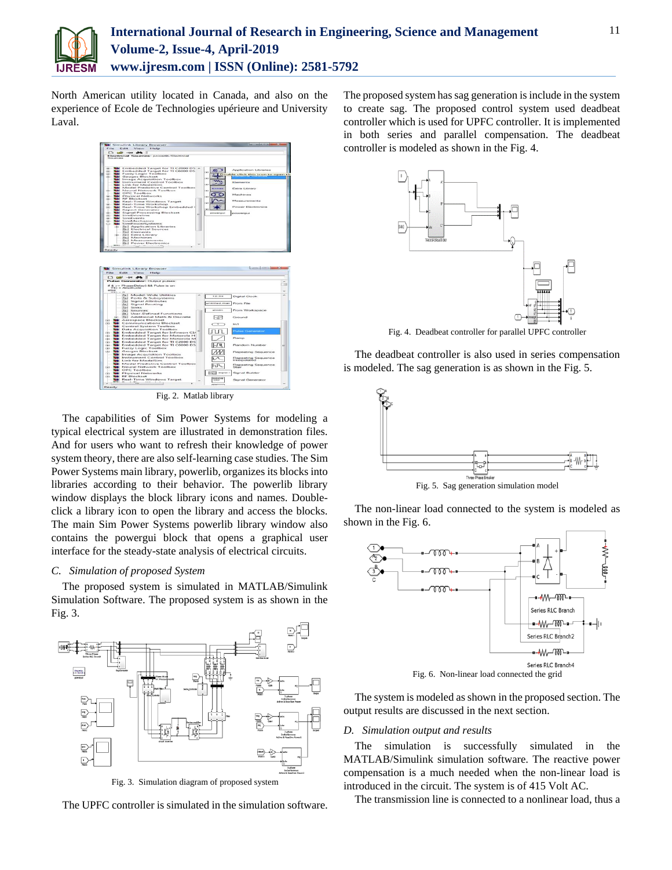

North American utility located in Canada, and also on the experience of Ecole de Technologies upérieure and University Laval.



Fig. 2. Matlab library

The capabilities of Sim Power Systems for modeling a typical electrical system are illustrated in demonstration files. And for users who want to refresh their knowledge of power system theory, there are also self-learning case studies. The Sim Power Systems main library, powerlib, organizes its blocks into libraries according to their behavior. The powerlib library window displays the block library icons and names. Doubleclick a library icon to open the library and access the blocks. The main Sim Power Systems powerlib library window also contains the powergui block that opens a graphical user interface for the steady-state analysis of electrical circuits.

## *C. Simulation of proposed System*

The proposed system is simulated in MATLAB/Simulink Simulation Software. The proposed system is as shown in the Fig. 3.



Fig. 3. Simulation diagram of proposed system

The UPFC controller is simulated in the simulation software.

The proposed system has sag generation is include in the system to create sag. The proposed control system used deadbeat controller which is used for UPFC controller. It is implemented in both series and parallel compensation. The deadbeat controller is modeled as shown in the Fig. 4.



Fig. 4. Deadbeat controller for parallel UPFC controller

The deadbeat controller is also used in series compensation is modeled. The sag generation is as shown in the Fig. 5.



The non-linear load connected to the system is modeled as



The system is modeled as shown in the proposed section. The output results are discussed in the next section.

# *D. Simulation output and results*

The simulation is successfully simulated in the MATLAB/Simulink simulation software. The reactive power compensation is a much needed when the non-linear load is introduced in the circuit. The system is of 415 Volt AC.

The transmission line is connected to a nonlinear load, thus a